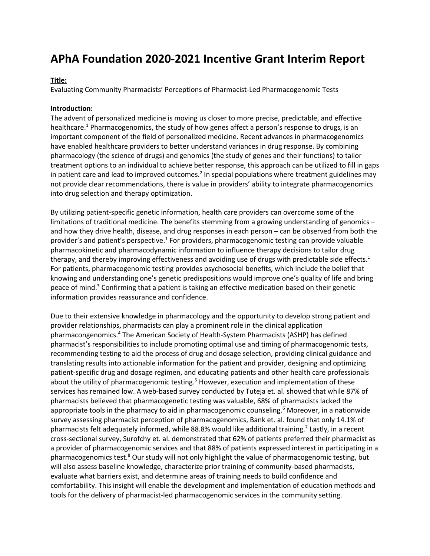# **APhA Foundation 2020-2021 Incentive Grant Interim Report**

## **Title:**

Evaluating Community Pharmacists' Perceptions of Pharmacist-Led Pharmacogenomic Tests

### **Introduction:**

The advent of personalized medicine is moving us closer to more precise, predictable, and effective healthcare.<sup>1</sup> Pharmacogenomics, the study of how genes affect a person's response to drugs, is an important component of the field of personalized medicine. Recent advances in pharmacogenomics have enabled healthcare providers to better understand variances in drug response. By combining pharmacology (the science of drugs) and genomics (the study of genes and their functions) to tailor treatment options to an individual to achieve better response, this approach can be utilized to fill in gaps in patient care and lead to improved outcomes.<sup>2</sup> In special populations where treatment guidelines may not provide clear recommendations, there is value in providers' ability to integrate pharmacogenomics into drug selection and therapy optimization.

By utilizing patient-specific genetic information, health care providers can overcome some of the limitations of traditional medicine. The benefits stemming from a growing understanding of genomics – and how they drive health, disease, and drug responses in each person – can be observed from both the provider's and patient's perspective.<sup>1</sup> For providers, pharmacogenomic testing can provide valuable pharmacokinetic and pharmacodynamic information to influence therapy decisions to tailor drug therapy, and thereby improving effectiveness and avoiding use of drugs with predictable side effects.<sup>1</sup> For patients, pharmacogenomic testing provides psychosocial benefits, which include the belief that knowing and understanding one's genetic predispositions would improve one's quality of life and bring peace of mind.<sup>3</sup> Confirming that a patient is taking an effective medication based on their genetic information provides reassurance and confidence.

Due to their extensive knowledge in pharmacology and the opportunity to develop strong patient and provider relationships, pharmacists can play a prominent role in the clinical application pharmacongenomics. <sup>4</sup> The American Society of Health-System Pharmacists (ASHP) has defined pharmacist's responsibilities to include promoting optimal use and timing of pharmacogenomic tests, recommending testing to aid the process of drug and dosage selection, providing clinical guidance and translating results into actionable information for the patient and provider, designing and optimizing patient-specific drug and dosage regimen, and educating patients and other health care professionals about the utility of pharmacogenomic testing.<sup>5</sup> However, execution and implementation of these services has remained low. A web-based survey conducted by Tuteja et. al. showed that while 87% of pharmacists believed that pharmacogenetic testing was valuable, 68% of pharmacists lacked the appropriate tools in the pharmacy to aid in pharmacogenomic counseling.<sup>6</sup> Moreover, in a nationwide survey assessing pharmacist perception of pharmacogenomics, Bank et. al. found that only 14.1% of pharmacists felt adequately informed, while 88.8% would like additional training.<sup>7</sup> Lastly, in a recent cross-sectional survey, Surofchy et. al. demonstrated that 62% of patients preferred their pharmacist as a provider of pharmacogenomic services and that 88% of patients expressed interest in participating in a pharmacogenomics test.<sup>8</sup> Our study will not only highlight the value of pharmacogenomic testing, but will also assess baseline knowledge, characterize prior training of community-based pharmacists, evaluate what barriers exist, and determine areas of training needs to build confidence and comfortability. This insight will enable the development and implementation of education methods and tools for the delivery of pharmacist-led pharmacogenomic services in the community setting.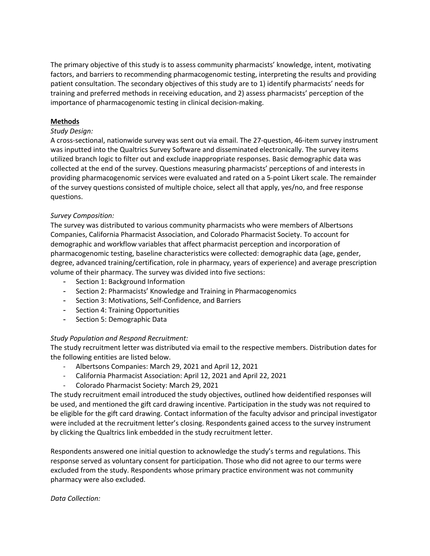The primary objective of this study is to assess community pharmacists' knowledge, intent, motivating factors, and barriers to recommending pharmacogenomic testing, interpreting the results and providing patient consultation. The secondary objectives of this study are to 1) identify pharmacists' needs for training and preferred methods in receiving education, and 2) assess pharmacists' perception of the importance of pharmacogenomic testing in clinical decision-making.

## **Methods**

## *Study Design:*

A cross-sectional, nationwide survey was sent out via email. The 27-question, 46-item survey instrument was inputted into the Qualtrics Survey Software and disseminated electronically. The survey items utilized branch logic to filter out and exclude inappropriate responses. Basic demographic data was collected at the end of the survey. Questions measuring pharmacists' perceptions of and interests in providing pharmacogenomic services were evaluated and rated on a 5-point Likert scale. The remainder of the survey questions consisted of multiple choice, select all that apply, yes/no, and free response questions.

## *Survey Composition:*

The survey was distributed to various community pharmacists who were members of Albertsons Companies, California Pharmacist Association, and Colorado Pharmacist Society. To account for demographic and workflow variables that affect pharmacist perception and incorporation of pharmacogenomic testing, baseline characteristics were collected: demographic data (age, gender, degree, advanced training/certification, role in pharmacy, years of experience) and average prescription volume of their pharmacy. The survey was divided into five sections:

- Section 1: Background Information
- Section 2: Pharmacists' Knowledge and Training in Pharmacogenomics
- Section 3: Motivations, Self-Confidence, and Barriers
- Section 4: Training Opportunities
- Section 5: Demographic Data

# *Study Population and Respond Recruitment:*

The study recruitment letter was distributed via email to the respective members. Distribution dates for the following entities are listed below.

- Albertsons Companies: March 29, 2021 and April 12, 2021
- California Pharmacist Association: April 12, 2021 and April 22, 2021
- Colorado Pharmacist Society: March 29, 2021

The study recruitment email introduced the study objectives, outlined how deidentified responses will be used, and mentioned the gift card drawing incentive. Participation in the study was not required to be eligible for the gift card drawing. Contact information of the faculty advisor and principal investigator were included at the recruitment letter's closing. Respondents gained access to the survey instrument by clicking the Qualtrics link embedded in the study recruitment letter.

Respondents answered one initial question to acknowledge the study's terms and regulations. This response served as voluntary consent for participation. Those who did not agree to our terms were excluded from the study. Respondents whose primary practice environment was not community pharmacy were also excluded.

## *Data Collection:*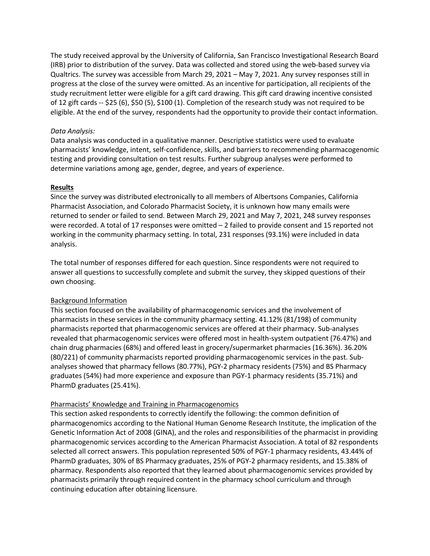The study received approval by the University of California, San Francisco Investigational Research Board (IRB) prior to distribution of the survey. Data was collected and stored using the web-based survey via Qualtrics. The survey was accessible from March 29, 2021 – May 7, 2021. Any survey responses still in progress at the close of the survey were omitted. As an incentive for participation, all recipients of the study recruitment letter were eligible for a gift card drawing. This gift card drawing incentive consisted of 12 gift cards -- \$25 (6), \$50 (5), \$100 (1). Completion of the research study was not required to be eligible. At the end of the survey, respondents had the opportunity to provide their contact information.

## *Data Analysis:*

Data analysis was conducted in a qualitative manner. Descriptive statistics were used to evaluate pharmacists' knowledge, intent, self-confidence, skills, and barriers to recommending pharmacogenomic testing and providing consultation on test results. Further subgroup analyses were performed to determine variations among age, gender, degree, and years of experience.

## **Results**

Since the survey was distributed electronically to all members of Albertsons Companies, California Pharmacist Association, and Colorado Pharmacist Society, it is unknown how many emails were returned to sender or failed to send. Between March 29, 2021 and May 7, 2021, 248 survey responses were recorded. A total of 17 responses were omitted – 2 failed to provide consent and 15 reported not working in the community pharmacy setting. In total, 231 responses (93.1%) were included in data analysis.

The total number of responses differed for each question. Since respondents were not required to answer all questions to successfully complete and submit the survey, they skipped questions of their own choosing.

# Background Information

This section focused on the availability of pharmacogenomic services and the involvement of pharmacists in these services in the community pharmacy setting. 41.12% (81/198) of community pharmacists reported that pharmacogenomic services are offered at their pharmacy. Sub-analyses revealed that pharmacogenomic services were offered most in health-system outpatient (76.47%) and chain drug pharmacies (68%) and offered least in grocery/supermarket pharmacies (16.36%). 36.20% (80/221) of community pharmacists reported providing pharmacogenomic services in the past. Subanalyses showed that pharmacy fellows (80.77%), PGY-2 pharmacy residents (75%) and BS Pharmacy graduates (54%) had more experience and exposure than PGY-1 pharmacy residents (35.71%) and PharmD graduates (25.41%).

## Pharmacists' Knowledge and Training in Pharmacogenomics

This section asked respondents to correctly identify the following: the common definition of pharmacogenomics according to the National Human Genome Research Institute, the implication of the Genetic Information Act of 2008 (GINA), and the roles and responsibilities of the pharmacist in providing pharmacogenomic services according to the American Pharmacist Association. A total of 82 respondents selected all correct answers. This population represented 50% of PGY-1 pharmacy residents, 43.44% of PharmD graduates, 30% of BS Pharmacy graduates, 25% of PGY-2 pharmacy residents, and 15.38% of pharmacy. Respondents also reported that they learned about pharmacogenomic services provided by pharmacists primarily through required content in the pharmacy school curriculum and through continuing education after obtaining licensure.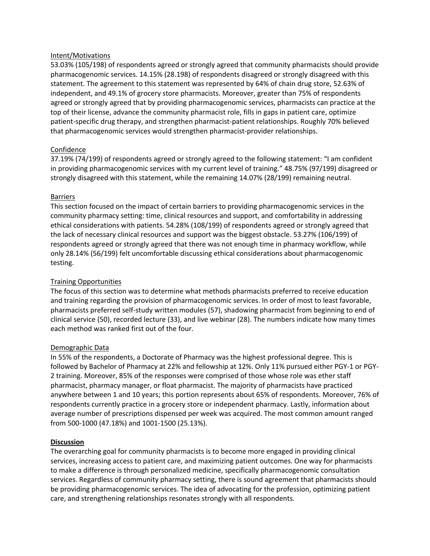### Intent/Motivations

53.03% (105/198) of respondents agreed or strongly agreed that community pharmacists should provide pharmacogenomic services. 14.15% (28.198) of respondents disagreed or strongly disagreed with this statement. The agreement to this statement was represented by 64% of chain drug store, 52.63% of independent, and 49.1% of grocery store pharmacists. Moreover, greater than 75% of respondents agreed or strongly agreed that by providing pharmacogenomic services, pharmacists can practice at the top of their license, advance the community pharmacist role, fills in gaps in patient care, optimize patient-specific drug therapy, and strengthen pharmacist-patient relationships. Roughly 70% believed that pharmacogenomic services would strengthen pharmacist-provider relationships.

## Confidence

37.19% (74/199) of respondents agreed or strongly agreed to the following statement: "I am confident in providing pharmacogenomic services with my current level of training." 48.75% (97/199) disagreed or strongly disagreed with this statement, while the remaining 14.07% (28/199) remaining neutral.

#### **Barriers**

This section focused on the impact of certain barriers to providing pharmacogenomic services in the community pharmacy setting: time, clinical resources and support, and comfortability in addressing ethical considerations with patients. 54.28% (108/199) of respondents agreed or strongly agreed that the lack of necessary clinical resources and support was the biggest obstacle. 53.27% (106/199) of respondents agreed or strongly agreed that there was not enough time in pharmacy workflow, while only 28.14% (56/199) felt uncomfortable discussing ethical considerations about pharmacogenomic testing.

## Training Opportunities

The focus of this section was to determine what methods pharmacists preferred to receive education and training regarding the provision of pharmacogenomic services. In order of most to least favorable, pharmacists preferred self-study written modules (57), shadowing pharmacist from beginning to end of clinical service (50), recorded lecture (33), and live webinar (28). The numbers indicate how many times each method was ranked first out of the four.

#### Demographic Data

In 55% of the respondents, a Doctorate of Pharmacy was the highest professional degree. This is followed by Bachelor of Pharmacy at 22% and fellowship at 12%. Only 11% pursued either PGY-1 or PGY-2 training. Moreover, 85% of the responses were comprised of those whose role was ether staff pharmacist, pharmacy manager, or float pharmacist. The majority of pharmacists have practiced anywhere between 1 and 10 years; this portion represents about 65% of respondents. Moreover, 76% of respondents currently practice in a grocery store or independent pharmacy. Lastly, information about average number of prescriptions dispensed per week was acquired. The most common amount ranged from 500-1000 (47.18%) and 1001-1500 (25.13%).

#### **Discussion**

The overarching goal for community pharmacists is to become more engaged in providing clinical services, increasing access to patient care, and maximizing patient outcomes. One way for pharmacists to make a difference is through personalized medicine, specifically pharmacogenomic consultation services. Regardless of community pharmacy setting, there is sound agreement that pharmacists should be providing pharmacogenomic services. The idea of advocating for the profession, optimizing patient care, and strengthening relationships resonates strongly with all respondents.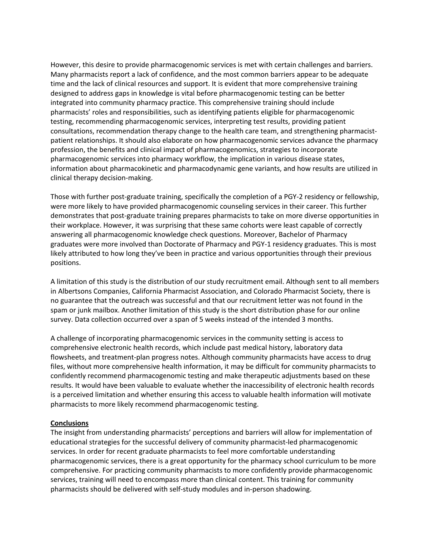However, this desire to provide pharmacogenomic services is met with certain challenges and barriers. Many pharmacists report a lack of confidence, and the most common barriers appear to be adequate time and the lack of clinical resources and support. It is evident that more comprehensive training designed to address gaps in knowledge is vital before pharmacogenomic testing can be better integrated into community pharmacy practice. This comprehensive training should include pharmacists' roles and responsibilities, such as identifying patients eligible for pharmacogenomic testing, recommending pharmacogenomic services, interpreting test results, providing patient consultations, recommendation therapy change to the health care team, and strengthening pharmacistpatient relationships. It should also elaborate on how pharmacogenomic services advance the pharmacy profession, the benefits and clinical impact of pharmacogenomics, strategies to incorporate pharmacogenomic services into pharmacy workflow, the implication in various disease states, information about pharmacokinetic and pharmacodynamic gene variants, and how results are utilized in clinical therapy decision-making.

Those with further post-graduate training, specifically the completion of a PGY-2 residency or fellowship, were more likely to have provided pharmacogenomic counseling services in their career. This further demonstrates that post-graduate training prepares pharmacists to take on more diverse opportunities in their workplace. However, it was surprising that these same cohorts were least capable of correctly answering all pharmacogenomic knowledge check questions. Moreover, Bachelor of Pharmacy graduates were more involved than Doctorate of Pharmacy and PGY-1 residency graduates. This is most likely attributed to how long they've been in practice and various opportunities through their previous positions.

A limitation of this study is the distribution of our study recruitment email. Although sent to all members in Albertsons Companies, California Pharmacist Association, and Colorado Pharmacist Society, there is no guarantee that the outreach was successful and that our recruitment letter was not found in the spam or junk mailbox. Another limitation of this study is the short distribution phase for our online survey. Data collection occurred over a span of 5 weeks instead of the intended 3 months.

A challenge of incorporating pharmacogenomic services in the community setting is access to comprehensive electronic health records, which include past medical history, laboratory data flowsheets, and treatment-plan progress notes. Although community pharmacists have access to drug files, without more comprehensive health information, it may be difficult for community pharmacists to confidently recommend pharmacogenomic testing and make therapeutic adjustments based on these results. It would have been valuable to evaluate whether the inaccessibility of electronic health records is a perceived limitation and whether ensuring this access to valuable health information will motivate pharmacists to more likely recommend pharmacogenomic testing.

## **Conclusions**

The insight from understanding pharmacists' perceptions and barriers will allow for implementation of educational strategies for the successful delivery of community pharmacist-led pharmacogenomic services. In order for recent graduate pharmacists to feel more comfortable understanding pharmacogenomic services, there is a great opportunity for the pharmacy school curriculum to be more comprehensive. For practicing community pharmacists to more confidently provide pharmacogenomic services, training will need to encompass more than clinical content. This training for community pharmacists should be delivered with self-study modules and in-person shadowing.